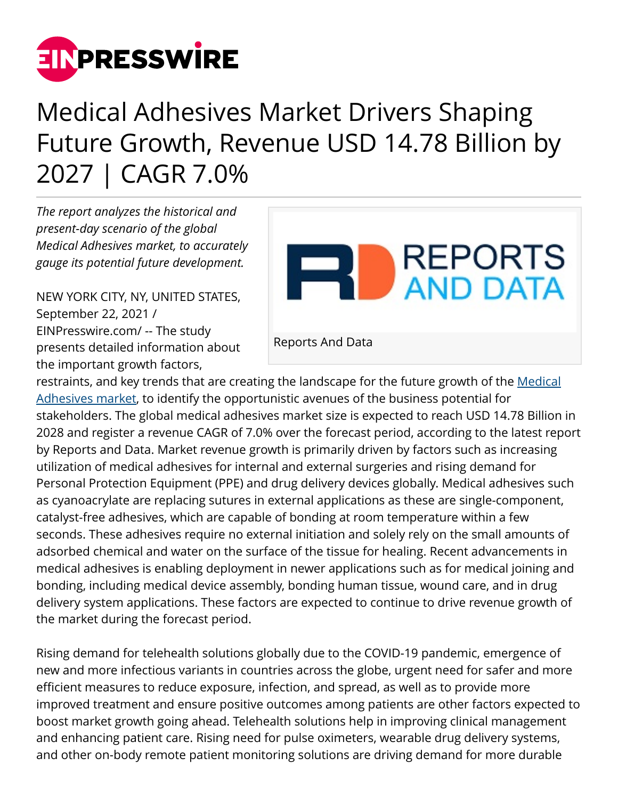

## Medical Adhesives Market Drivers Shaping Future Growth, Revenue USD 14.78 Billion by 2027 | CAGR 7.0%

*The report analyzes the historical and present-day scenario of the global Medical Adhesives market, to accurately gauge its potential future development.* 

NEW YORK CITY, NY, UNITED STATES, September 22, 2021 / [EINPresswire.com](http://www.einpresswire.com)/ -- The study presents detailed information about the important growth factors,



Reports And Data

restraints, and key trends that are creating the landscape for the future growth of the [Medical](https://www.reportsanddata.com/report-detail/medical-adhesives-market) [Adhesives market](https://www.reportsanddata.com/report-detail/medical-adhesives-market), to identify the opportunistic avenues of the business potential for stakeholders. The global medical adhesives market size is expected to reach USD 14.78 Billion in 2028 and register a revenue CAGR of 7.0% over the forecast period, according to the latest report by Reports and Data. Market revenue growth is primarily driven by factors such as increasing utilization of medical adhesives for internal and external surgeries and rising demand for Personal Protection Equipment (PPE) and drug delivery devices globally. Medical adhesives such as cyanoacrylate are replacing sutures in external applications as these are single-component, catalyst-free adhesives, which are capable of bonding at room temperature within a few seconds. These adhesives require no external initiation and solely rely on the small amounts of adsorbed chemical and water on the surface of the tissue for healing. Recent advancements in medical adhesives is enabling deployment in newer applications such as for medical joining and bonding, including medical device assembly, bonding human tissue, wound care, and in drug delivery system applications. These factors are expected to continue to drive revenue growth of the market during the forecast period.

Rising demand for telehealth solutions globally due to the COVID-19 pandemic, emergence of new and more infectious variants in countries across the globe, urgent need for safer and more efficient measures to reduce exposure, infection, and spread, as well as to provide more improved treatment and ensure positive outcomes among patients are other factors expected to boost market growth going ahead. Telehealth solutions help in improving clinical management and enhancing patient care. Rising need for pulse oximeters, wearable drug delivery systems, and other on-body remote patient monitoring solutions are driving demand for more durable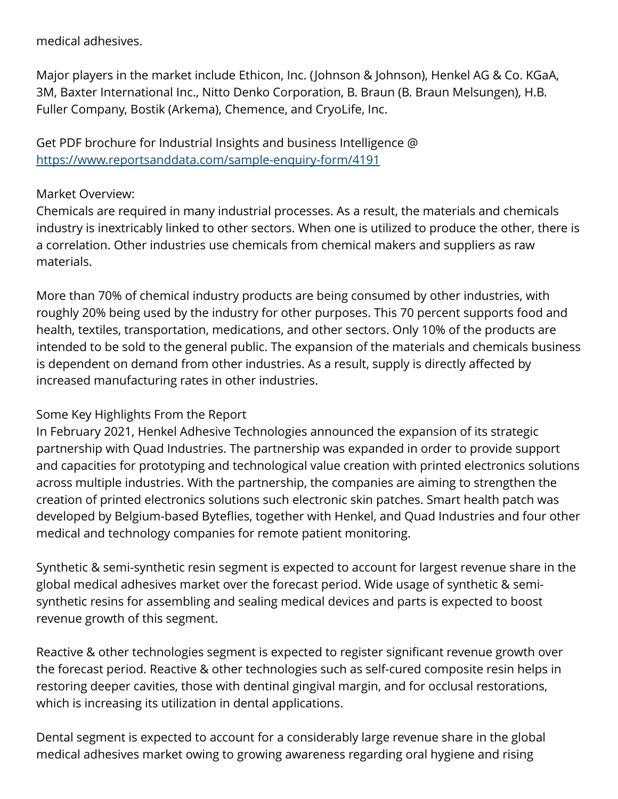medical adhesives.

Major players in the market include Ethicon, Inc. (Johnson & Johnson), Henkel AG & Co. KGaA, 3M, Baxter International Inc., Nitto Denko Corporation, B. Braun (B. Braun Melsungen), H.B. Fuller Company, Bostik (Arkema), Chemence, and CryoLife, Inc.

Get PDF brochure for Industrial Insights and business Intelligence @ <https://www.reportsanddata.com/sample-enquiry-form/4191>

## Market Overview:

Chemicals are required in many industrial processes. As a result, the materials and chemicals industry is inextricably linked to other sectors. When one is utilized to produce the other, there is a correlation. Other industries use chemicals from chemical makers and suppliers as raw materials.

More than 70% of chemical industry products are being consumed by other industries, with roughly 20% being used by the industry for other purposes. This 70 percent supports food and health, textiles, transportation, medications, and other sectors. Only 10% of the products are intended to be sold to the general public. The expansion of the materials and chemicals business is dependent on demand from other industries. As a result, supply is directly affected by increased manufacturing rates in other industries.

## Some Key Highlights From the Report

In February 2021, Henkel Adhesive Technologies announced the expansion of its strategic partnership with Quad Industries. The partnership was expanded in order to provide support and capacities for prototyping and technological value creation with printed electronics solutions across multiple industries. With the partnership, the companies are aiming to strengthen the creation of printed electronics solutions such electronic skin patches. Smart health patch was developed by Belgium-based Byteflies, together with Henkel, and Quad Industries and four other medical and technology companies for remote patient monitoring.

Synthetic & semi-synthetic resin segment is expected to account for largest revenue share in the global medical adhesives market over the forecast period. Wide usage of synthetic & semisynthetic resins for assembling and sealing medical devices and parts is expected to boost revenue growth of this segment.

Reactive & other technologies segment is expected to register significant revenue growth over the forecast period. Reactive & other technologies such as self-cured composite resin helps in restoring deeper cavities, those with dentinal gingival margin, and for occlusal restorations, which is increasing its utilization in dental applications.

Dental segment is expected to account for a considerably large revenue share in the global medical adhesives market owing to growing awareness regarding oral hygiene and rising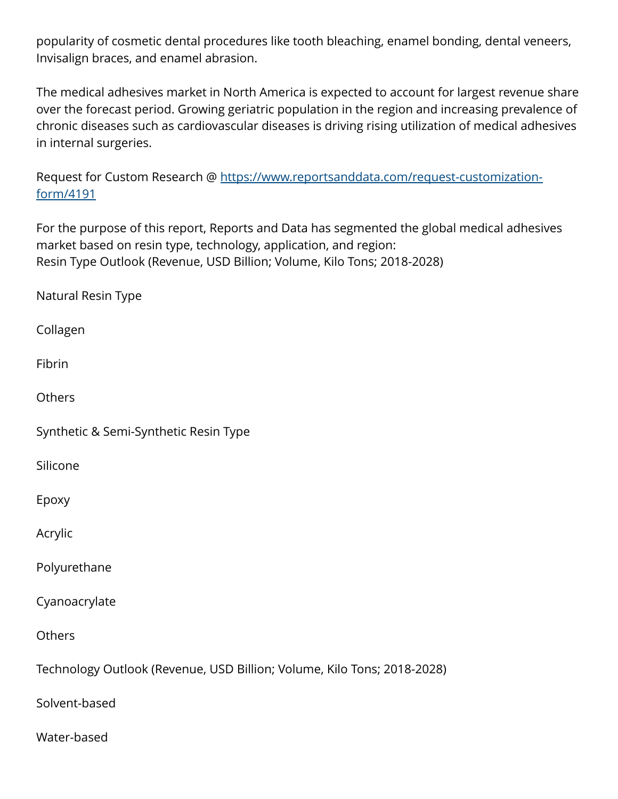popularity of cosmetic dental procedures like tooth bleaching, enamel bonding, dental veneers, Invisalign braces, and enamel abrasion.

The medical adhesives market in North America is expected to account for largest revenue share over the forecast period. Growing geriatric population in the region and increasing prevalence of chronic diseases such as cardiovascular diseases is driving rising utilization of medical adhesives in internal surgeries.

Request for Custom Research @ [https://www.reportsanddata.com/request-customization](https://www.reportsanddata.com/request-customization-form/4191)[form/4191](https://www.reportsanddata.com/request-customization-form/4191)

For the purpose of this report, Reports and Data has segmented the global medical adhesives market based on resin type, technology, application, and region: Resin Type Outlook (Revenue, USD Billion; Volume, Kilo Tons; 2018-2028)

Natural Resin Type

Collagen

Fibrin

**Others** 

Synthetic & Semi-Synthetic Resin Type

Silicone

Epoxy

Acrylic

Polyurethane

Cyanoacrylate

**Others** 

Technology Outlook (Revenue, USD Billion; Volume, Kilo Tons; 2018-2028)

Solvent-based

Water-based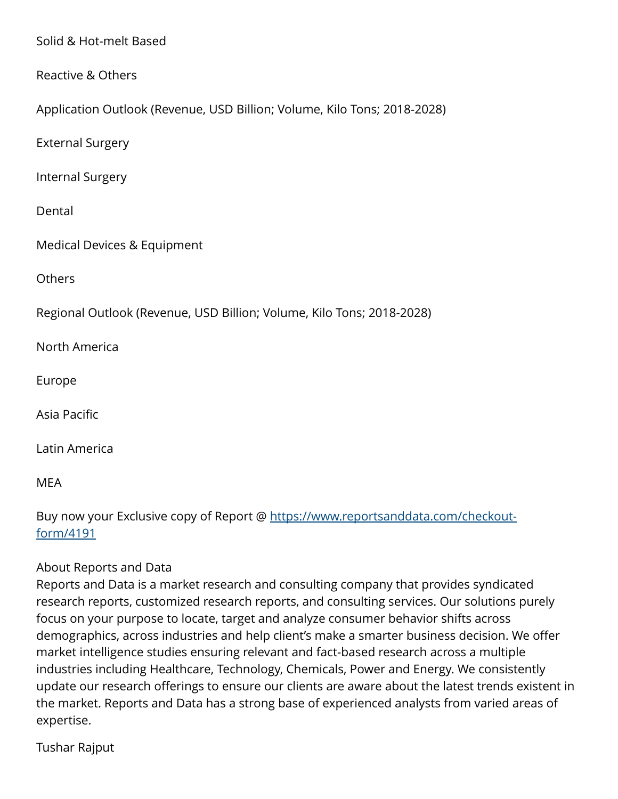Solid & Hot-melt Based

Reactive & Others

Application Outlook (Revenue, USD Billion; Volume, Kilo Tons; 2018-2028)

External Surgery

Internal Surgery

Dental

Medical Devices & Equipment

**Others** 

Regional Outlook (Revenue, USD Billion; Volume, Kilo Tons; 2018-2028)

North America

Europe

Asia Pacific

Latin America

MEA

Buy now your Exclusive copy of Report @ [https://www.reportsanddata.com/checkout](https://www.reportsanddata.com/checkout-form/4191)[form/4191](https://www.reportsanddata.com/checkout-form/4191)

## About Reports and Data

Reports and Data is a market research and consulting company that provides syndicated research reports, customized research reports, and consulting services. Our solutions purely focus on your purpose to locate, target and analyze consumer behavior shifts across demographics, across industries and help client's make a smarter business decision. We offer market intelligence studies ensuring relevant and fact-based research across a multiple industries including Healthcare, Technology, Chemicals, Power and Energy. We consistently update our research offerings to ensure our clients are aware about the latest trends existent in the market. Reports and Data has a strong base of experienced analysts from varied areas of expertise.

Tushar Rajput